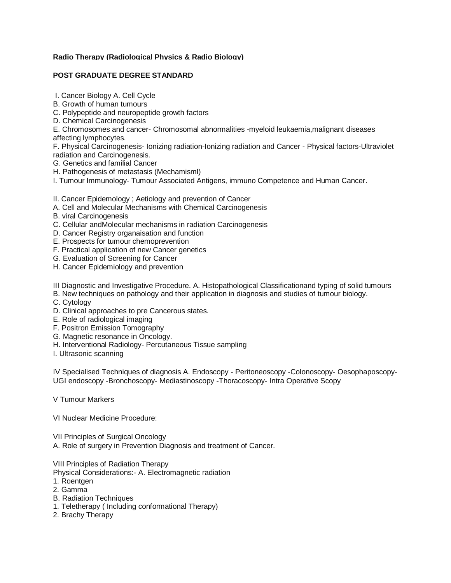# **Radio Therapy [\(Radiological Physics & Radio Biology\)](http://tnpsc.gov.in/RadioTherapyp1.htm)**

## **POST GRADUATE DEGREE STANDARD**

- I. Cancer Biology A. Cell Cycle
- B. Growth of human tumours
- C. Polypeptide and neuropeptide growth factors
- D. Chemical Carcinogenesis

E. Chromosomes and cancer- Chromosomal abnormalities -myeloid leukaemia,malignant diseases affecting lymphocytes.

F. Physical Carcinogenesis- Ionizing radiation-Ionizing radiation and Cancer - Physical factors-Ultraviolet radiation and Carcinogenesis.

- G. Genetics and familial Cancer
- H. Pathogenesis of metastasis (Mechamisml)
- I. Tumour Immunology- Tumour Associated Antigens, immuno Competence and Human Cancer.
- II. Cancer Epidemology ; Aetiology and prevention of Cancer
- A. Cell and Molecular Mechanisms with Chemical Carcinogenesis
- B. viral Carcinogenesis
- C. Cellular andMolecular mechanisms in radiation Carcinogenesis
- D. Cancer Registry organaisation and function
- E. Prospects for tumour chemoprevention
- F. Practical application of new Cancer genetics
- G. Evaluation of Screening for Cancer
- H. Cancer Epidemiology and prevention

III Diagnostic and Investigative Procedure. A. Histopathological Classificationand typing of solid tumours

- B. New techniques on pathology and their application in diagnosis and studies of tumour biology.
- C. Cytology
- D. Clinical approaches to pre Cancerous states.
- E. Role of radiological imaging
- F. Positron Emission Tomography
- G. Magnetic resonance in Oncology.
- H. Interventional Radiology- Percutaneous Tissue sampling
- I. Ultrasonic scanning

IV Specialised Techniques of diagnosis A. Endoscopy - Peritoneoscopy -Colonoscopy- Oesophaposcopy-UGI endoscopy -Bronchoscopy- Mediastinoscopy -Thoracoscopy- Intra Operative Scopy

V Tumour Markers

VI Nuclear Medicine Procedure:

VII Principles of Surgical Oncology

A. Role of surgery in Prevention Diagnosis and treatment of Cancer.

VIII Principles of Radiation Therapy

Physical Considerations:- A. Electromagnetic radiation

- 1. Roentgen
- 2. Gamma
- B. Radiation Techniques
- 1. Teletherapy ( Including conformational Therapy)
- 2. Brachy Therapy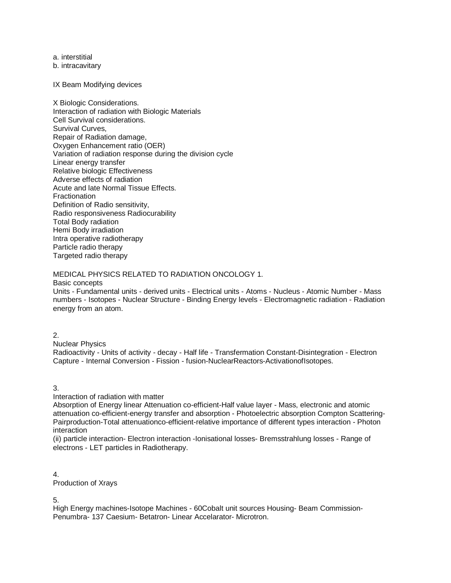a. interstitial

b. intracavitary

IX Beam Modifying devices

X Biologic Considerations. Interaction of radiation with Biologic Materials Cell Survival considerations. Survival Curves, Repair of Radiation damage, Oxygen Enhancement ratio (OER) Variation of radiation response during the division cycle Linear energy transfer Relative biologic Effectiveness Adverse effects of radiation Acute and late Normal Tissue Effects. **Fractionation** Definition of Radio sensitivity, Radio responsiveness Radiocurability Total Body radiation Hemi Body irradiation Intra operative radiotherapy Particle radio therapy Targeted radio therapy

### MEDICAL PHYSICS RELATED TO RADIATION ONCOLOGY 1.

Basic concepts

Units - Fundamental units - derived units - Electrical units - Atoms - Nucleus - Atomic Number - Mass numbers - Isotopes - Nuclear Structure - Binding Energy levels - Electromagnetic radiation - Radiation energy from an atom.

2.

Nuclear Physics

Radioactivity - Units of activity - decay - Half life - Transfermation Constant-Disintegration - Electron Capture - Internal Conversion - Fission - fusion-NuclearReactors-ActivationofIsotopes.

3.

Interaction of radiation with matter

Absorption of Energy linear Attenuation co-efficient-Half value layer - Mass, electronic and atomic attenuation co-efficient-energy transfer and absorption - Photoelectric absorption Compton Scattering-Pairproduction-Total attenuationco-efficient-relative importance of different types interaction - Photon interaction

(ii) particle interaction- Electron interaction -Ionisational losses- Bremsstrahlung losses - Range of electrons - LET particles in Radiotherapy.

4.

Production of Xrays

5.

High Energy machines-Isotope Machines - 60Cobalt unit sources Housing- Beam Commission-Penumbra- 137 Caesium- Betatron- Linear Accelarator- Microtron.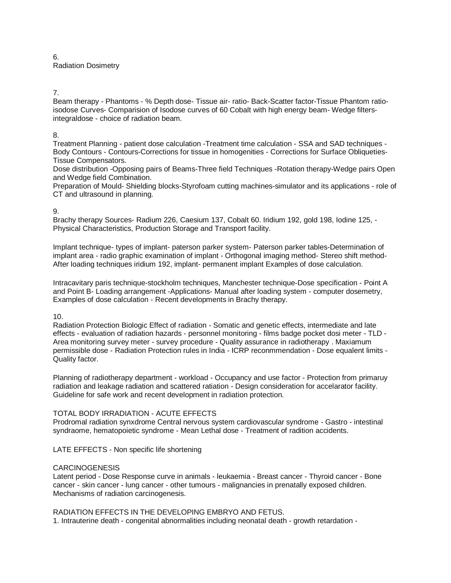#### 6. Radiation Dosimetry

### 7.

Beam therapy - Phantoms - % Depth dose- Tissue air- ratio- Back-Scatter factor-Tissue Phantom ratioisodose Curves- Comparision of Isodose curves of 60 Cobalt with high energy beam- Wedge filtersintegraldose - choice of radiation beam.

### 8.

Treatment Planning - patient dose calculation -Treatment time calculation - SSA and SAD techniques - Body Contours - Contours-Corrections for tissue in homogenities - Corrections for Surface Obliqueties-Tissue Compensators.

Dose distribution -Opposing pairs of Beams-Three field Techniques -Rotation therapy-Wedge pairs Open and Wedge field Combination.

Preparation of Mould- Shielding blocks-Styrofoam cutting machines-simulator and its applications - role of CT and ultrasound in planning.

## 9.

Brachy therapy Sources- Radium 226, Caesium 137, Cobalt 60. Iridium 192, gold 198, Iodine 125, - Physical Characteristics, Production Storage and Transport facility.

Implant technique- types of implant- paterson parker system- Paterson parker tables-Determination of implant area - radio graphic examination of implant - Orthogonal imaging method- Stereo shift method-After loading techniques iridium 192, implant- permanent implant Examples of dose calculation.

Intracavitary paris technique-stockholm techniques, Manchester technique-Dose specification - Point A and Point B- Loading arrangement -Applications- Manual after loading system - computer dosemetry, Examples of dose calculation - Recent developments in Brachy therapy.

## 10.

Radiation Protection Biologic Effect of radiation - Somatic and genetic effects, intermediate and late effects - evaluation of radiation hazards - personnel monitoring - films badge pocket dosi meter - TLD - Area monitoring survey meter - survey procedure - Quality assurance in radiotherapy . Maxiamum permissible dose - Radiation Protection rules in India - ICRP reconmmendation - Dose equalent limits - Quality factor.

Planning of radiotherapy department - workload - Occupancy and use factor - Protection from primaruy radiation and leakage radiation and scattered ratiation - Design consideration for accelarator facility. Guideline for safe work and recent development in radiation protection.

## TOTAL BODY IRRADIATION - ACUTE EFFECTS

Prodromal radiation synxdrome Central nervous system cardiovascular syndrome - Gastro - intestinal syndraome, hematopoietic syndrome - Mean Lethal dose - Treatment of radition accidents.

LATE EFFECTS - Non specific life shortening

#### CARCINOGENESIS

Latent period - Dose Response curve in animals - leukaemia - Breast cancer - Thyroid cancer - Bone cancer - skin cancer - lung cancer - other tumours - malignancies in prenatally exposed children. Mechanisms of radiation carcinogenesis.

RADIATION EFFECTS IN THE DEVELOPING EMBRYO AND FETUS. 1. Intrauterine death - congenital abnormalities including neonatal death - growth retardation -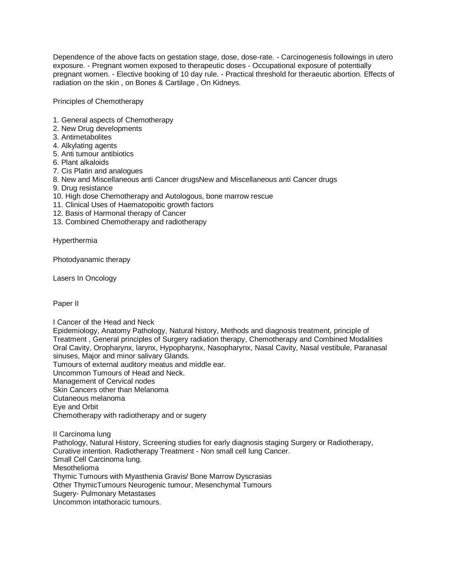Dependence of the above facts on gestation stage, dose, dose-rate. - Carcinogenesis followings in utero exposure. - Pregnant women exposed to therapeutic doses - Occupational exposure of potentially pregnant women. - Elective booking of 10 day rule. - Practical threshold for theraeutic abortion. Effects of radiation on the skin , on Bones & Cartilage , On Kidneys.

Principles of Chemotherapy

- 1. General aspects of Chemotherapy
- 2. New Drug developments
- 3. Antimetabolites
- 4. Alkylating agents
- 5. Anti tumour antibiotics
- 6. Plant alkaloids
- 7. Cis Platin and analogues
- 8. New and Miscellaneous anti Cancer drugsNew and Miscellaneous anti Cancer drugs
- 9. Drug resistance
- 10. High dose Chemotherapy and Autologous, bone marrow rescue
- 11. Clinical Uses of Haematopoitic growth factors
- 12. Basis of Harmonal therapy of Cancer
- 13. Combined Chemotherapy and radiotherapy

Hyperthermia

Photodyanamic therapy

Lasers In Oncology

Paper II

I Cancer of the Head and Neck

Epidemiology, Anatomy Pathology, Natural history, Methods and diagnosis treatment, principle of Treatment , General principles of Surgery radiation therapy, Chemotherapy and Combined Modalities Oral Cavity, Oropharynx, larynx, Hypopharynx, Nasopharynx, Nasal Cavity, Nasal vestibule, Paranasal sinuses, Major and minor salivary Glands. Tumours of external auditory meatus and middle ear.

Uncommon Tumours of Head and Neck.

Management of Cervical nodes

Skin Cancers other than Melanoma

Cutaneous melanoma

Eye and Orbit

Chemotherapy with radiotherapy and or sugery

II Carcinoma lung Pathology, Natural History, Screening studies for early diagnosis staging Surgery or Radiotherapy, Curative intention. Radiotherapy Treatment - Non small cell lung Cancer. Small Cell Carcinoma lung. Mesothelioma Thymic Tumours with Myasthenia Gravis/ Bone Marrow Dyscrasias Other ThymicTumours Neurogenic tumour, Mesenchymal Tumours Sugery- Pulmonary Metastases Uncommon intathoracic tumours.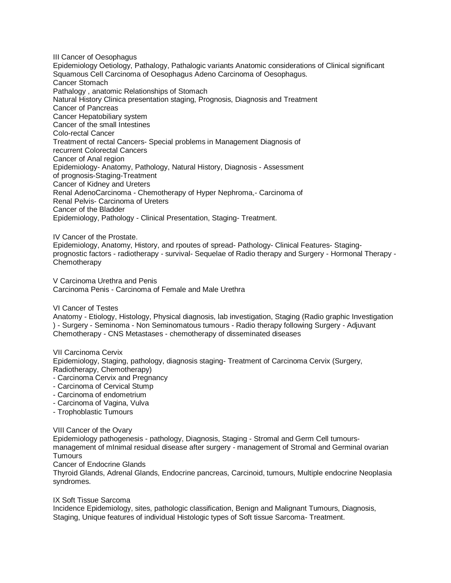III Cancer of Oesophagus Epidemiology Oetiology, Pathalogy, Pathalogic variants Anatomic considerations of Clinical significant Squamous Cell Carcinoma of Oesophagus Adeno Carcinoma of Oesophagus. Cancer Stomach Pathalogy , anatomic Relationships of Stomach Natural History Clinica presentation staging, Prognosis, Diagnosis and Treatment Cancer of Pancreas Cancer Hepatobiliary system Cancer of the small Intestines Colo-rectal Cancer Treatment of rectal Cancers- Special problems in Management Diagnosis of recurrent Colorectal Cancers Cancer of Anal region Epidemiology- Anatomy, Pathology, Natural History, Diagnosis - Assessment of prognosis-Staging-Treatment Cancer of Kidney and Ureters Renal AdenoCarcinoma - Chemotherapy of Hyper Nephroma,- Carcinoma of Renal Pelvis- Carcinoma of Ureters Cancer of the Bladder Epidemiology, Pathology - Clinical Presentation, Staging- Treatment.

IV Cancer of the Prostate.

Epidemiology, Anatomy, History, and rpoutes of spread- Pathology- Clinical Features- Stagingprognostic factors - radiotherapy - survival- Sequelae of Radio therapy and Surgery - Hormonal Therapy - **Chemotherapy** 

V Carcinoma Urethra and Penis Carcinoma Penis - Carcinoma of Female and Male Urethra

VI Cancer of Testes

Anatomy - Etiology, Histology, Physical diagnosis, lab investigation, Staging (Radio graphic Investigation ) - Surgery - Seminoma - Non Seminomatous tumours - Radio therapy following Surgery - Adjuvant Chemotherapy - CNS Metastases - chemotherapy of disseminated diseases

VII Carcinoma Cervix Epidemiology, Staging, pathology, diagnosis staging- Treatment of Carcinoma Cervix (Surgery, Radiotherapy, Chemotherapy)

- Carcinoma Cervix and Pregnancy
- Carcinoma of Cervical Stump
- Carcinoma of endometrium
- Carcinoma of Vagina, Vulva
- Trophoblastic Tumours

VIII Cancer of the Ovary Epidemiology pathogenesis - pathology, Diagnosis, Staging - Stromal and Germ Cell tumoursmanagement of mInimal residual disease after surgery - management of Stromal and Germinal ovarian **Tumours** 

Cancer of Endocrine Glands

Thyroid Glands, Adrenal Glands, Endocrine pancreas, Carcinoid, tumours, Multiple endocrine Neoplasia syndromes.

IX Soft Tissue Sarcoma

Incidence Epidemiology, sites, pathologic classification, Benign and Malignant Tumours, Diagnosis, Staging, Unique features of individual Histologic types of Soft tissue Sarcoma- Treatment.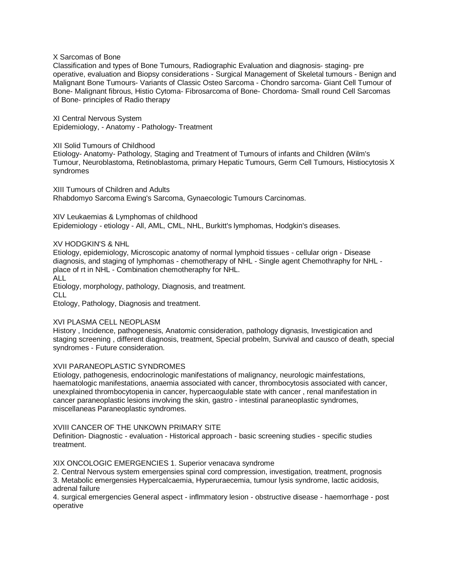#### X Sarcomas of Bone

Classification and types of Bone Tumours, Radiographic Evaluation and diagnosis- staging- pre operative, evaluation and Biopsy considerations - Surgical Management of Skeletal tumours - Benign and Malignant Bone Tumours- Variants of Classic Osteo Sarcoma - Chondro sarcoma- Giant Cell Tumour of Bone- Malignant fibrous, Histio Cytoma- Fibrosarcoma of Bone- Chordoma- Small round Cell Sarcomas of Bone- principles of Radio therapy

XI Central Nervous System Epidemiology, - Anatomy - Pathology- Treatment

#### XII Solid Tumours of Childhood

Etiology- Anatomy- Pathology, Staging and Treatment of Tumours of infants and Children (Wilm's Tumour, Neuroblastoma, Retinoblastoma, primary Hepatic Tumours, Germ Cell Tumours, Histiocytosis X syndromes

XIII Tumours of Children and Adults Rhabdomyo Sarcoma Ewing's Sarcoma, Gynaecologic Tumours Carcinomas.

XIV Leukaemias & Lymphomas of childhood Epidemiology - etiology - All, AML, CML, NHL, Burkitt's lymphomas, Hodgkin's diseases.

#### XV HODGKIN'S & NHL

Etiology, epidemiology, Microscopic anatomy of normal lymphoid tissues - cellular orign - Disease diagnosis, and staging of lymphomas - chemotherapy of NHL - Single agent Chemothraphy for NHL place of rt in NHL - Combination chemotheraphy for NHL. ALL

Etiology, morphology, pathology, Diagnosis, and treatment. CLL

Etology, Pathology, Diagnosis and treatment.

#### XVI PLASMA CELL NEOPLASM

History , Incidence, pathogenesis, Anatomic consideration, pathology dignasis, Investigication and staging screening , different diagnosis, treatment, Special probelm, Survival and causco of death, special syndromes - Future consideration.

#### XVII PARANEOPLASTIC SYNDROMES

Etiology, pathogenesis, endocrinologic manifestations of malignancy, neurologic mainfestations, haematologic manifestations, anaemia associated with cancer, thrombocytosis associated with cancer, unexplained thrombocytopenia in cancer, hypercaogulable state with cancer , renal manifestation in cancer paraneoplastic lesions involving the skin, gastro - intestinal paraneoplastic syndromes, miscellaneas Paraneoplastic syndromes.

#### XVIII CANCER OF THE UNKOWN PRIMARY SITE

Definition- Diagnostic - evaluation - Historical approach - basic screening studies - specific studies treatment.

#### XIX ONCOLOGIC EMERGENCIES 1. Superior venacava syndrome

2. Central Nervous system emergensies spinal cord compression, investigation, treatment, prognosis 3. Metabolic emergensies Hypercalcaemia, Hyperuraecemia, tumour lysis syndrome, lactic acidosis,

adrenal failure

4. surgical emergencies General aspect - inflmmatory lesion - obstructive disease - haemorrhage - post operative